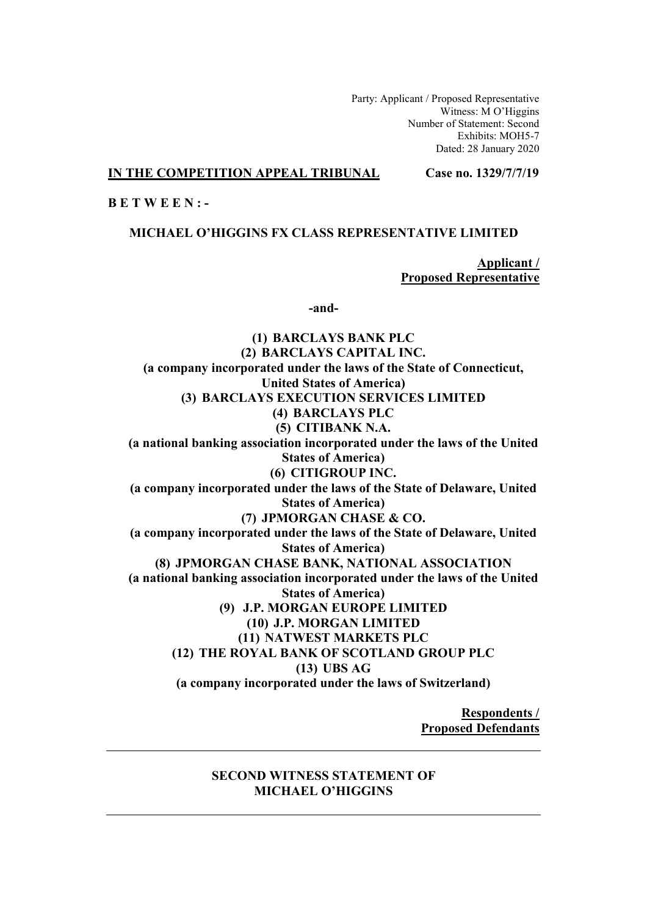Party: Applicant / Proposed Representative Witness: M O'Higgins Number of Statement: Second Exhibits: MOH5-7 Dated: 28 January 2020

### **IN THE COMPETITION APPEAL TRIBUNAL Case no. 1329/7/7/19**

# **B E T W E E N : -**

**MICHAEL O'HIGGINS FX CLASS REPRESENTATIVE LIMITED** 

**Applicant / Proposed Representative** 

**-and-** 

**(1) BARCLAYS BANK PLC (2) BARCLAYS CAPITAL INC. (a company incorporated under the laws of the State of Connecticut, United States of America) (3) BARCLAYS EXECUTION SERVICES LIMITED (4) BARCLAYS PLC (5) CITIBANK N.A. (a national banking association incorporated under the laws of the United States of America) (6) CITIGROUP INC. (a company incorporated under the laws of the State of Delaware, United States of America) (7) JPMORGAN CHASE & CO. (a company incorporated under the laws of the State of Delaware, United States of America) (8) JPMORGAN CHASE BANK, NATIONAL ASSOCIATION (a national banking association incorporated under the laws of the United States of America) (9) J.P. MORGAN EUROPE LIMITED (10) J.P. MORGAN LIMITED (11) NATWEST MARKETS PLC (12) THE ROYAL BANK OF SCOTLAND GROUP PLC (13) UBS AG (a company incorporated under the laws of Switzerland)** 

> **Respondents / Proposed Defendants**

### **SECOND WITNESS STATEMENT OF MICHAEL O'HIGGINS**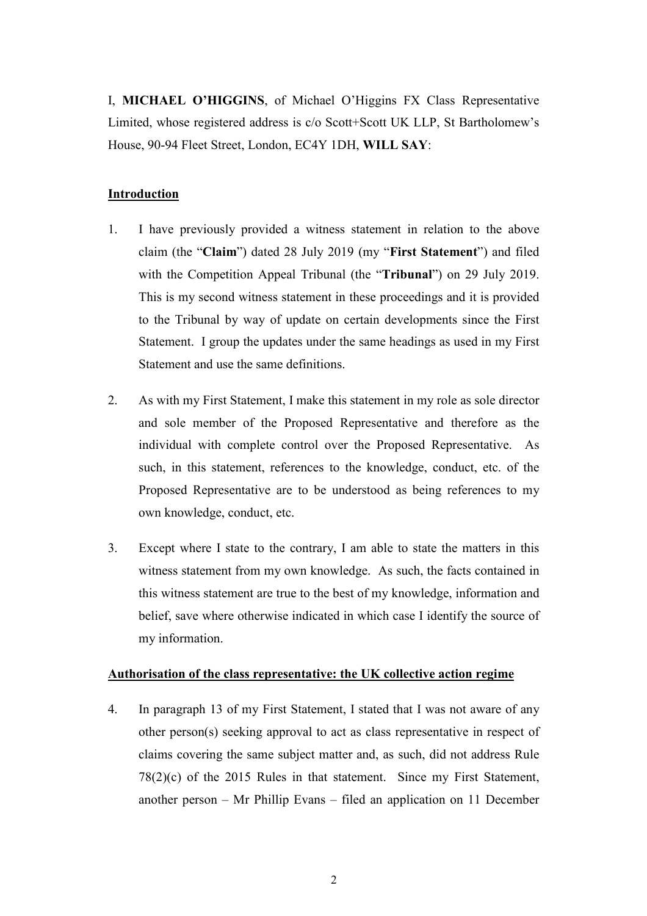I, **MICHAEL O'HIGGINS**, of Michael O'Higgins FX Class Representative Limited, whose registered address is c/o Scott+Scott UK LLP, St Bartholomew's House, 90-94 Fleet Street, London, EC4Y 1DH, **WILL SAY**:

# **Introduction**

- 1. I have previously provided a witness statement in relation to the above claim (the "**Claim**") dated 28 July 2019 (my "**First Statement**") and filed with the Competition Appeal Tribunal (the "**Tribunal**") on 29 July 2019. This is my second witness statement in these proceedings and it is provided to the Tribunal by way of update on certain developments since the First Statement. I group the updates under the same headings as used in my First Statement and use the same definitions.
- 2. As with my First Statement, I make this statement in my role as sole director and sole member of the Proposed Representative and therefore as the individual with complete control over the Proposed Representative. As such, in this statement, references to the knowledge, conduct, etc. of the Proposed Representative are to be understood as being references to my own knowledge, conduct, etc.
- 3. Except where I state to the contrary, I am able to state the matters in this witness statement from my own knowledge. As such, the facts contained in this witness statement are true to the best of my knowledge, information and belief, save where otherwise indicated in which case I identify the source of my information.

## **Authorisation of the class representative: the UK collective action regime**

4. In paragraph 13 of my First Statement, I stated that I was not aware of any other person(s) seeking approval to act as class representative in respect of claims covering the same subject matter and, as such, did not address Rule 78(2)(c) of the 2015 Rules in that statement. Since my First Statement, another person – Mr Phillip Evans – filed an application on 11 December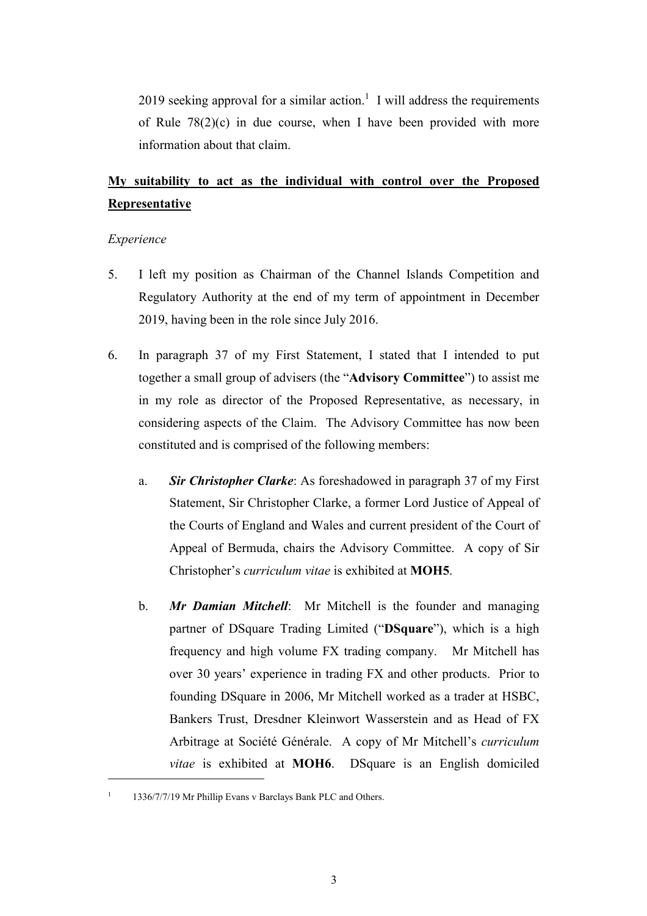2019 seeking approval for a similar action.<sup>1</sup> I will address the requirements of Rule 78(2)(c) in due course, when I have been provided with more information about that claim.

# **My suitability to act as the individual with control over the Proposed Representative**

### *Experience*

-

- 5. I left my position as Chairman of the Channel Islands Competition and Regulatory Authority at the end of my term of appointment in December 2019, having been in the role since July 2016.
- 6. In paragraph 37 of my First Statement, I stated that I intended to put together a small group of advisers (the "**Advisory Committee**") to assist me in my role as director of the Proposed Representative, as necessary, in considering aspects of the Claim. The Advisory Committee has now been constituted and is comprised of the following members:
	- a. *Sir Christopher Clarke*: As foreshadowed in paragraph 37 of my First Statement, Sir Christopher Clarke, a former Lord Justice of Appeal of the Courts of England and Wales and current president of the Court of Appeal of Bermuda, chairs the Advisory Committee. A copy of Sir Christopher's *curriculum vitae* is exhibited at **MOH5**.
	- b. *Mr Damian Mitchell*: Mr Mitchell is the founder and managing partner of DSquare Trading Limited ("**DSquare**"), which is a high frequency and high volume FX trading company. Mr Mitchell has over 30 years' experience in trading FX and other products. Prior to founding DSquare in 2006, Mr Mitchell worked as a trader at HSBC, Bankers Trust, Dresdner Kleinwort Wasserstein and as Head of FX Arbitrage at Société Générale. A copy of Mr Mitchell's *curriculum vitae* is exhibited at **MOH6**. DSquare is an English domiciled

<sup>&</sup>lt;sup>1</sup> 1336/7/7/19 Mr Phillip Evans v Barclays Bank PLC and Others.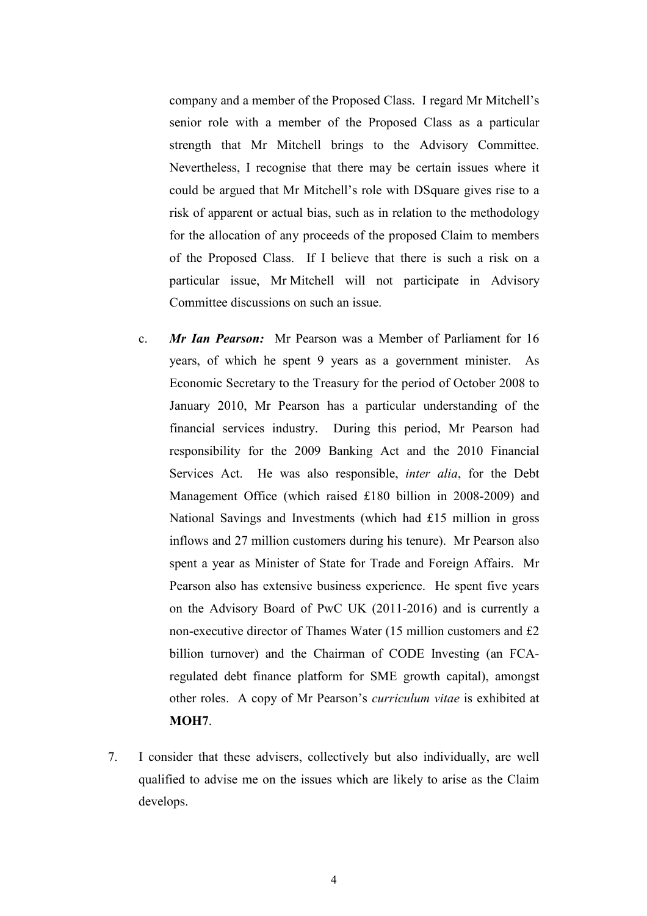company and a member of the Proposed Class. I regard Mr Mitchell's senior role with a member of the Proposed Class as a particular strength that Mr Mitchell brings to the Advisory Committee. Nevertheless, I recognise that there may be certain issues where it could be argued that Mr Mitchell's role with DSquare gives rise to a risk of apparent or actual bias, such as in relation to the methodology for the allocation of any proceeds of the proposed Claim to members of the Proposed Class. If I believe that there is such a risk on a particular issue, Mr Mitchell will not participate in Advisory Committee discussions on such an issue.

- c. *Mr Ian Pearson:* Mr Pearson was a Member of Parliament for 16 years, of which he spent 9 years as a government minister. As Economic Secretary to the Treasury for the period of October 2008 to January 2010, Mr Pearson has a particular understanding of the financial services industry. During this period, Mr Pearson had responsibility for the 2009 Banking Act and the 2010 Financial Services Act. He was also responsible, *inter alia*, for the Debt Management Office (which raised £180 billion in 2008-2009) and National Savings and Investments (which had £15 million in gross inflows and 27 million customers during his tenure). Mr Pearson also spent a year as Minister of State for Trade and Foreign Affairs. Mr Pearson also has extensive business experience. He spent five years on the Advisory Board of PwC UK (2011-2016) and is currently a non-executive director of Thames Water (15 million customers and £2 billion turnover) and the Chairman of CODE Investing (an FCAregulated debt finance platform for SME growth capital), amongst other roles. A copy of Mr Pearson's *curriculum vitae* is exhibited at **MOH7**.
- 7. I consider that these advisers, collectively but also individually, are well qualified to advise me on the issues which are likely to arise as the Claim develops.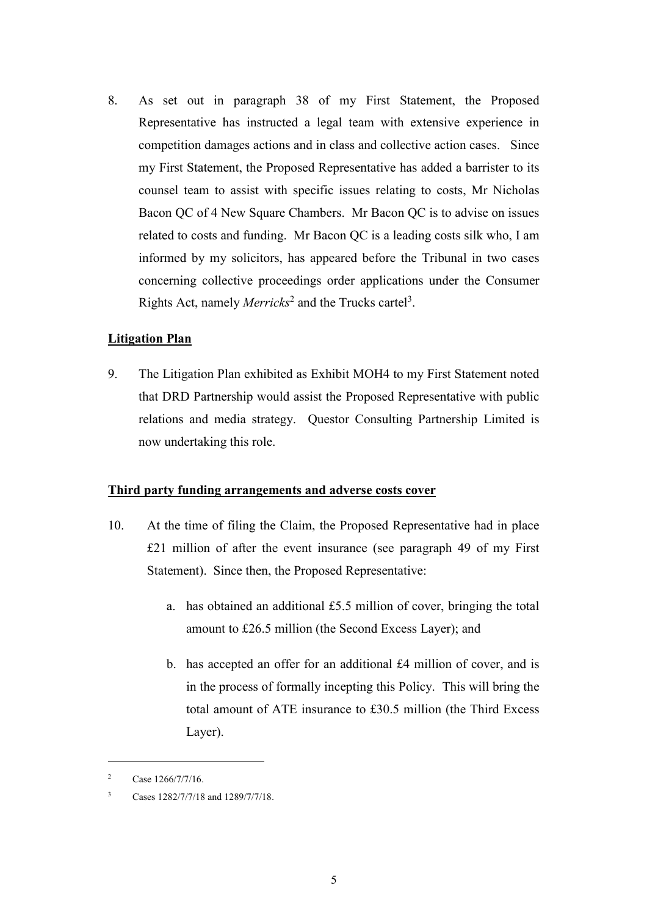8. As set out in paragraph 38 of my First Statement, the Proposed Representative has instructed a legal team with extensive experience in competition damages actions and in class and collective action cases. Since my First Statement, the Proposed Representative has added a barrister to its counsel team to assist with specific issues relating to costs, Mr Nicholas Bacon QC of 4 New Square Chambers. Mr Bacon QC is to advise on issues related to costs and funding. Mr Bacon QC is a leading costs silk who, I am informed by my solicitors, has appeared before the Tribunal in two cases concerning collective proceedings order applications under the Consumer Rights Act, namely *Merricks*<sup>2</sup> and the Trucks cartel<sup>3</sup>.

# **Litigation Plan**

9. The Litigation Plan exhibited as Exhibit MOH4 to my First Statement noted that DRD Partnership would assist the Proposed Representative with public relations and media strategy. Questor Consulting Partnership Limited is now undertaking this role.

## **Third party funding arrangements and adverse costs cover**

- 10. At the time of filing the Claim, the Proposed Representative had in place £21 million of after the event insurance (see paragraph 49 of my First Statement). Since then, the Proposed Representative:
	- a. has obtained an additional £5.5 million of cover, bringing the total amount to £26.5 million (the Second Excess Layer); and
	- b. has accepted an offer for an additional £4 million of cover, and is in the process of formally incepting this Policy. This will bring the total amount of ATE insurance to £30.5 million (the Third Excess Layer).

 $\overline{a}$ 

<sup>&</sup>lt;sup>2</sup> Case  $1266/7/7/16$ .

<sup>3</sup> Cases 1282/7/7/18 and 1289/7/7/18.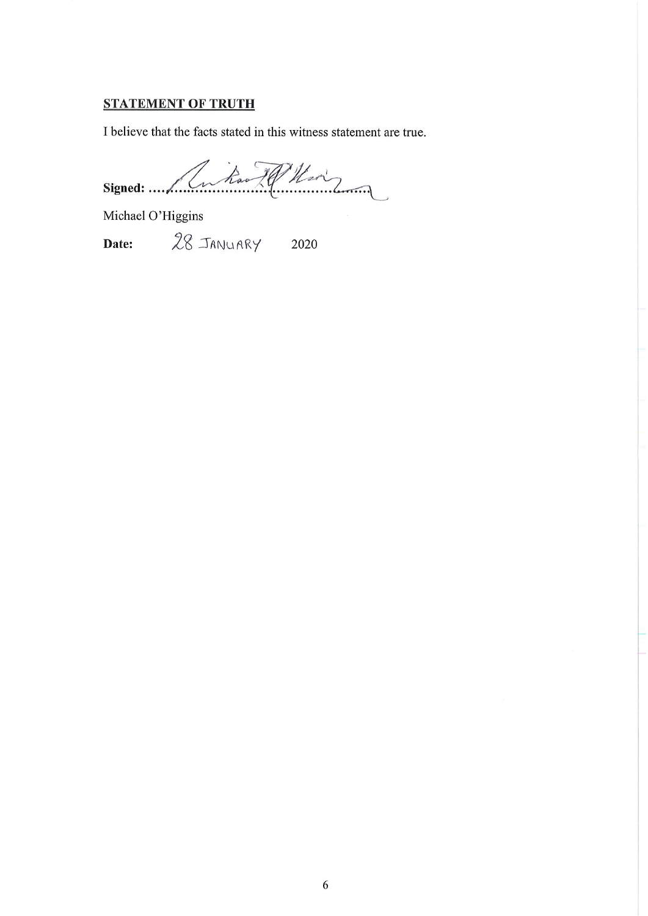# **STATEMENT OF TRUTH**

I believe that the facts stated in this witness statement are true.

Signed: Lutin 79 Mai

Michael O'Higgins

28 JANUARY 2020 Date: